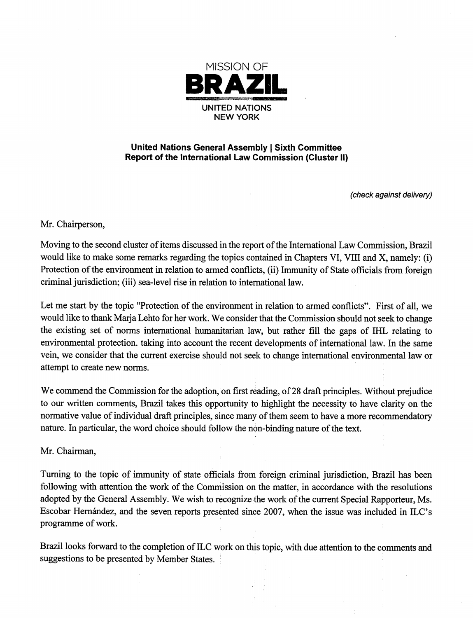

## United Nations General Assembly j Sixth Committee Report of the International Law Commission (Cluster li)

(check against delivery)

Mr. Chairperson,

Moving to the second cluster of items discussed in the report of the International Law Commission, Brazil would like to make some remarks regarding the topics contained in Chapters VI, VIII and X, namely: (i) Protection of the environment in relation to armed conflicts, (ii) Immunity of State officials from foreign criminal jurisdiction; (iii) sea-level rise in relation to international law.

Let me start by the topic "Protection of the environment in relation to armed conflicts". First of all, we would like to thank Marja Lehto for her work. We consider that the Commission should not seek to change the existing set of norms international humanitarian law, but rather fill the gaps of IHL relating to environmental protection, taking into account the recent developments of international law. In the same vein, we consider that the current exercise should not seek to change international environmental law or attempt to create new norms.

We commend the Commission for the adoption, on first reading, of 28 draft principles. Without prejudice to our written comments, Brazil takes this opportunity to highlight the necessity to have clarity on the normative value of individual draft principles, since many of them seem to have a more recommendatory nature. In particular, the word choice should follow the non-binding nature of the text.

Mr. Chairman,

Turning to the topic of immunity of state officials from foreign criminal jurisdiction, Brazil has been following with attention the work of the Commission on the matter, in accordance with the resolutions adopted by the General Assembly. We wish to recognize the work of the current Special Rapporteur, Ms. Escobar Hernández, and the seven reports presented since 2007, when the issue was included in ILC's programme of work.

Brazil looks forward to the completion of ILC work on this topic, with due attention to the comments and suggestions to be presented by Member States. '